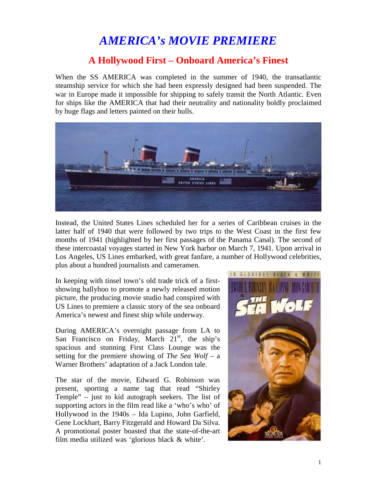## *AMERICA's MOVIE PREMIERE*

## **A Hollywood First – Onboard America's Finest**

When the SS AMERICA was completed in the summer of 1940, the transatlantic steamship service for which she had been expressly designed had been suspended. The war in Europe made it impossible for shipping to safely transit the North Atlantic. Even for ships like the AMERICA that had their neutrality and nationality boldly proclaimed by huge flags and letters painted on their hulls.



Instead, the United States Lines scheduled her for a series of Caribbean cruises in the latter half of 1940 that were followed by two trips to the West Coast in the first few months of 1941 (highlighted by her first passages of the Panama Canal). The second of these intercoastal voyages started in New York harbor on March 7, 1941. Upon arrival in Los Angeles, US Lines embarked, with great fanfare, a number of Hollywood celebrities, plus about a hundred journalists and cameramen.

In keeping with tinsel town's old trade trick of a firstshowing ballyhoo to promote a newly released motion picture, the producing movie studio had conspired with US Lines to premiere a classic story of the sea onboard America's newest and finest ship while underway.

During AMERICA's overnight passage from LA to San Francisco on Friday, March  $21<sup>st</sup>$ , the ship's spacious and stunning First Class Lounge was the setting for the premiere showing of *The Sea Wolf* – a Warner Brothers' adaptation of a Jack London tale.

The star of the movie, Edward G. Robinson was present, sporting a name tag that read "Shirley Temple" – just to kid autograph seekers. The list of supporting actors in the film read like a 'who's who' of Hollywood in the 1940s – Ida Lupino, John Garfield, Gene Lockhart, Barry Fitzgerald and Howard Da Silva. A promotional poster boasted that the state-of-the-art film media utilized was 'glorious black & white'.

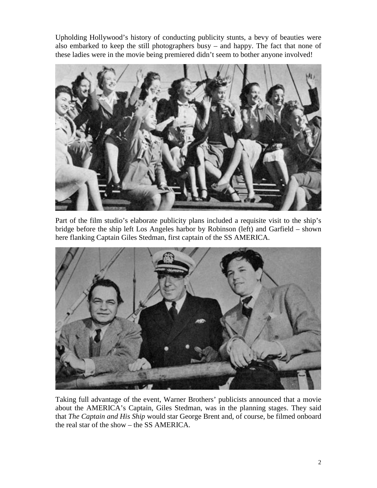Upholding Hollywood's history of conducting publicity stunts, a bevy of beauties were also embarked to keep the still photographers busy – and happy. The fact that none of these ladies were in the movie being premiered didn't seem to bother anyone involved!



Part of the film studio's elaborate publicity plans included a requisite visit to the ship's bridge before the ship left Los Angeles harbor by Robinson (left) and Garfield – shown here flanking Captain Giles Stedman, first captain of the SS AMERICA.



Taking full advantage of the event, Warner Brothers' publicists announced that a movie about the AMERICA's Captain, Giles Stedman, was in the planning stages. They said that *The Captain and His Ship* would star George Brent and, of course, be filmed onboard the real star of the show – the SS AMERICA.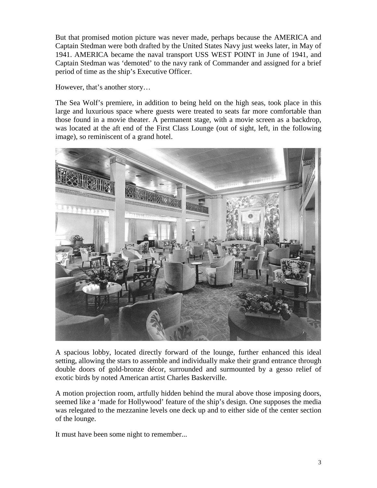But that promised motion picture was never made, perhaps because the AMERICA and Captain Stedman were both drafted by the United States Navy just weeks later, in May of 1941. AMERICA became the naval transport USS WEST POINT in June of 1941, and Captain Stedman was 'demoted' to the navy rank of Commander and assigned for a brief period of time as the ship's Executive Officer.

However, that's another story…

The Sea Wolf's premiere, in addition to being held on the high seas, took place in this large and luxurious space where guests were treated to seats far more comfortable than those found in a movie theater. A permanent stage, with a movie screen as a backdrop, was located at the aft end of the First Class Lounge (out of sight, left, in the following image), so reminiscent of a grand hotel.



A spacious lobby, located directly forward of the lounge, further enhanced this ideal setting, allowing the stars to assemble and individually make their grand entrance through double doors of gold-bronze décor, surrounded and surmounted by a gesso relief of exotic birds by noted American artist Charles Baskerville.

A motion projection room, artfully hidden behind the mural above those imposing doors, seemed like a 'made for Hollywood' feature of the ship's design. One supposes the media was relegated to the mezzanine levels one deck up and to either side of the center section of the lounge.

It must have been some night to remember...